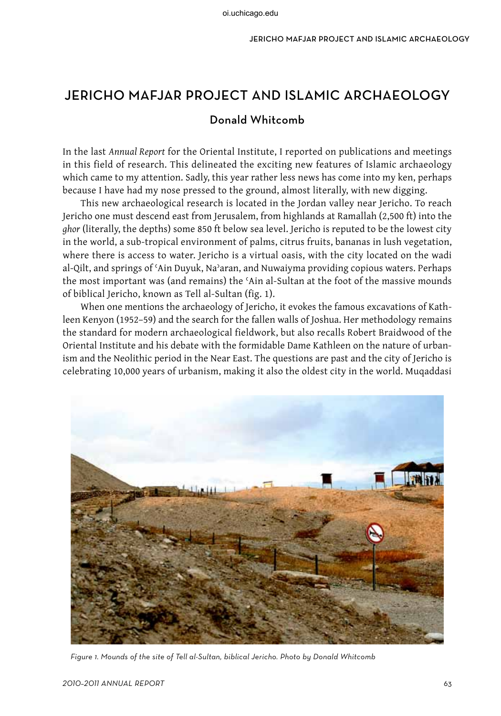# Jericho Mafjar Project and Islamic Archaeology

## Donald Whitcomb

In the last *Annual Report* for the Oriental Institute, I reported on publications and meetings in this field of research. This delineated the exciting new features of Islamic archaeology which came to my attention. Sadly, this year rather less news has come into my ken, perhaps because I have had my nose pressed to the ground, almost literally, with new digging.

This new archaeological research is located in the Jordan valley near Jericho. To reach Jericho one must descend east from Jerusalem, from highlands at Ramallah (2,500 ft) into the *ghor* (literally, the depths) some 850 ft below sea level. Jericho is reputed to be the lowest city in the world, a sub-tropical environment of palms, citrus fruits, bananas in lush vegetation, where there is access to water. Jericho is a virtual oasis, with the city located on the wadi al-Qilt, and springs of 'Ain Duyuk, Na'aran, and Nuwaiyma providing copious waters. Perhaps the most important was (and remains) the ʿAin al-Sultan at the foot of the massive mounds of biblical Jericho, known as Tell al-Sultan (fig. 1).

When one mentions the archaeology of Jericho, it evokes the famous excavations of Kathleen Kenyon (1952–59) and the search for the fallen walls of Joshua. Her methodology remains the standard for modern archaeological fieldwork, but also recalls Robert Braidwood of the Oriental Institute and his debate with the formidable Dame Kathleen on the nature of urbanism and the Neolithic period in the Near East. The questions are past and the city of Jericho is celebrating 10,000 years of urbanism, making it also the oldest city in the world. Muqaddasi



Figure 1. Mounds of the site of Tell al-Sultan, biblical Jericho. Photo by Donald Whitcomb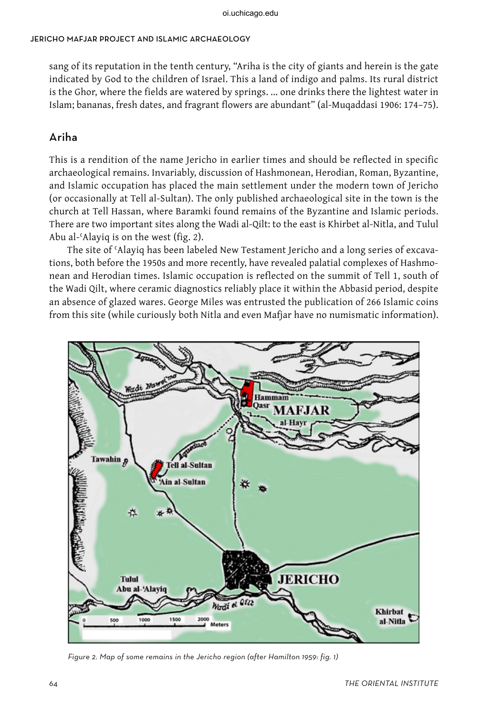sang of its reputation in the tenth century, "Ariha is the city of giants and herein is the gate indicated by God to the children of Israel. This a land of indigo and palms. Its rural district is the Ghor, where the fields are watered by springs. ... one drinks there the lightest water in Islam; bananas, fresh dates, and fragrant flowers are abundant" (al-Muqaddasi 1906: 174–75).

# Ariha

This is a rendition of the name Jericho in earlier times and should be reflected in specific archaeological remains. Invariably, discussion of Hashmonean, Herodian, Roman, Byzantine, and Islamic occupation has placed the main settlement under the modern town of Jericho (or occasionally at Tell al-Sultan). The only published archaeological site in the town is the church at Tell Hassan, where Baramki found remains of the Byzantine and Islamic periods. There are two important sites along the Wadi al-Qilt: to the east is Khirbet al-Nitla, and Tulul Abu al-ʿAlayiq is on the west (fig. 2).

The site of ʿAlayiq has been labeled New Testament Jericho and a long series of excavations, both before the 1950s and more recently, have revealed palatial complexes of Hashmonean and Herodian times. Islamic occupation is reflected on the summit of Tell 1, south of the Wadi Qilt, where ceramic diagnostics reliably place it within the Abbasid period, despite an absence of glazed wares. George Miles was entrusted the publication of 266 Islamic coins from this site (while curiously both Nitla and even Mafjar have no numismatic information).



Figure 2. Map of some remains in the Jericho region (after Hamilton 1959: fig. 1)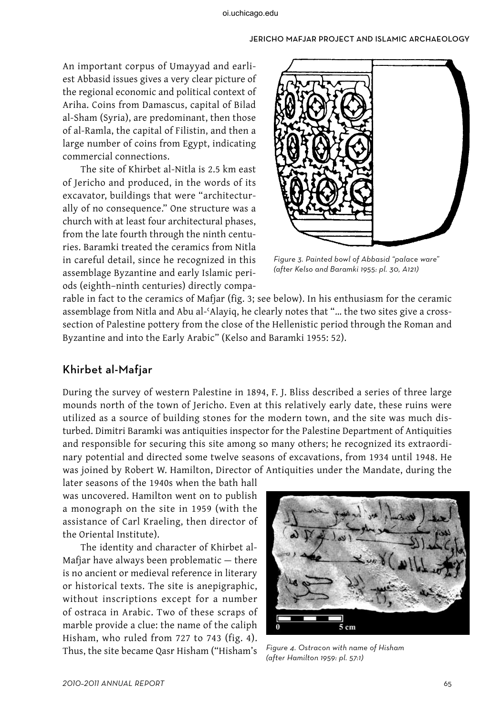An important corpus of Umayyad and earliest Abbasid issues gives a very clear picture of the regional economic and political context of Ariha. Coins from Damascus, capital of Bilad al-Sham (Syria), are predominant, then those of al-Ramla, the capital of Filistin, and then a large number of coins from Egypt, indicating commercial connections.

The site of Khirbet al-Nitla is 2.5 km east of Jericho and produced, in the words of its excavator, buildings that were "architecturally of no consequence." One structure was a church with at least four architectural phases, from the late fourth through the ninth centuries. Baramki treated the ceramics from Nitla in careful detail, since he recognized in this assemblage Byzantine and early Islamic periods (eighth–ninth centuries) directly compa-



Figure 3. Painted bowl of Abbasid "palace ware" (after Kelso and Baramki 1955: pl. 30, A121)

rable in fact to the ceramics of Mafjar (fig. 3; see below). In his enthusiasm for the ceramic assemblage from Nitla and Abu al-'Alayiq, he clearly notes that "... the two sites give a crosssection of Palestine pottery from the close of the Hellenistic period through the Roman and Byzantine and into the Early Arabic" (Kelso and Baramki 1955: 52).

### Khirbet al-Mafjar

During the survey of western Palestine in 1894, F. J. Bliss described a series of three large mounds north of the town of Jericho. Even at this relatively early date, these ruins were utilized as a source of building stones for the modern town, and the site was much disturbed. Dimitri Baramki was antiquities inspector for the Palestine Department of Antiquities and responsible for securing this site among so many others; he recognized its extraordinary potential and directed some twelve seasons of excavations, from 1934 until 1948. He was joined by Robert W. Hamilton, Director of Antiquities under the Mandate, during the

later seasons of the 1940s when the bath hall was uncovered. Hamilton went on to publish a monograph on the site in 1959 (with the assistance of Carl Kraeling, then director of the Oriental Institute).

The identity and character of Khirbet al-Mafjar have always been problematic — there is no ancient or medieval reference in literary or historical texts. The site is anepigraphic, without inscriptions except for a number of ostraca in Arabic. Two of these scraps of marble provide a clue: the name of the caliph Hisham, who ruled from 727 to 743 (fig. 4). Thus, the site became Qasr Hisham ("Hisham's



Figure 4. Ostracon with name of Hisham (after Hamilton 1959: pl. 57:1)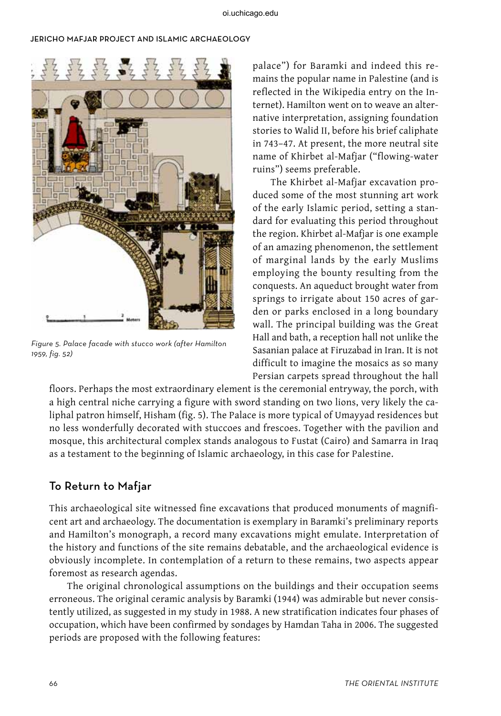

Figure 5. Palace facade with stucco work (after Hamilton 1959, fig. 52)

palace") for Baramki and indeed this remains the popular name in Palestine (and is reflected in the Wikipedia entry on the Internet). Hamilton went on to weave an alternative interpretation, assigning foundation stories to Walid II, before his brief caliphate in 743–47. At present, the more neutral site name of Khirbet al-Mafjar ("flowing-water ruins") seems preferable.

The Khirbet al-Mafjar excavation produced some of the most stunning art work of the early Islamic period, setting a standard for evaluating this period throughout the region. Khirbet al-Mafjar is one example of an amazing phenomenon, the settlement of marginal lands by the early Muslims employing the bounty resulting from the conquests. An aqueduct brought water from springs to irrigate about 150 acres of garden or parks enclosed in a long boundary wall. The principal building was the Great Hall and bath, a reception hall not unlike the Sasanian palace at Firuzabad in Iran. It is not difficult to imagine the mosaics as so many Persian carpets spread throughout the hall

floors. Perhaps the most extraordinary element is the ceremonial entryway, the porch, with a high central niche carrying a figure with sword standing on two lions, very likely the caliphal patron himself, Hisham (fig. 5). The Palace is more typical of Umayyad residences but no less wonderfully decorated with stuccoes and frescoes. Together with the pavilion and mosque, this architectural complex stands analogous to Fustat (Cairo) and Samarra in Iraq as a testament to the beginning of Islamic archaeology, in this case for Palestine.

### To Return to Mafjar

This archaeological site witnessed fine excavations that produced monuments of magnificent art and archaeology. The documentation is exemplary in Baramki's preliminary reports and Hamilton's monograph, a record many excavations might emulate. Interpretation of the history and functions of the site remains debatable, and the archaeological evidence is obviously incomplete. In contemplation of a return to these remains, two aspects appear foremost as research agendas.

The original chronological assumptions on the buildings and their occupation seems erroneous. The original ceramic analysis by Baramki (1944) was admirable but never consistently utilized, as suggested in my study in 1988. A new stratification indicates four phases of occupation, which have been confirmed by sondages by Hamdan Taha in 2006. The suggested periods are proposed with the following features: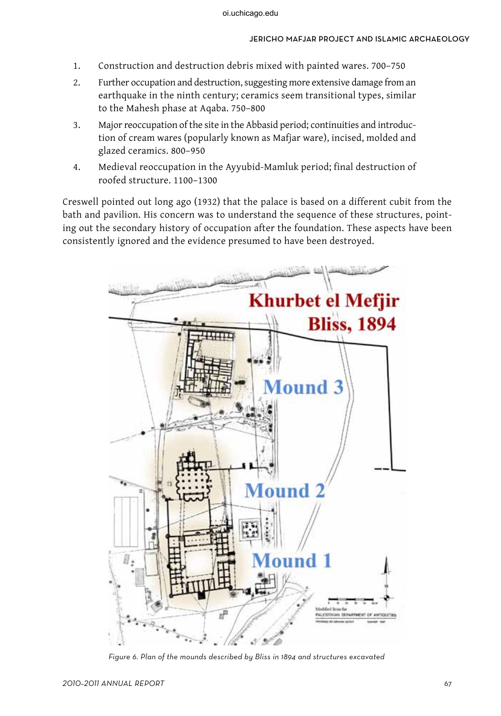- 1. Construction and destruction debris mixed with painted wares. 700–750
- 2. Further occupation and destruction, suggesting more extensive damage from an earthquake in the ninth century; ceramics seem transitional types, similar to the Mahesh phase at Aqaba. 750–800
- 3. Major reoccupation of the site in the Abbasid period; continuities and introduction of cream wares (popularly known as Mafjar ware), incised, molded and glazed ceramics. 800–950
- 4. Medieval reoccupation in the Ayyubid-Mamluk period; final destruction of roofed structure. 1100–1300

Creswell pointed out long ago (1932) that the palace is based on a different cubit from the bath and pavilion. His concern was to understand the sequence of these structures, pointing out the secondary history of occupation after the foundation. These aspects have been consistently ignored and the evidence presumed to have been destroyed.



Figure 6. Plan of the mounds described by Bliss in 1894 and structures excavated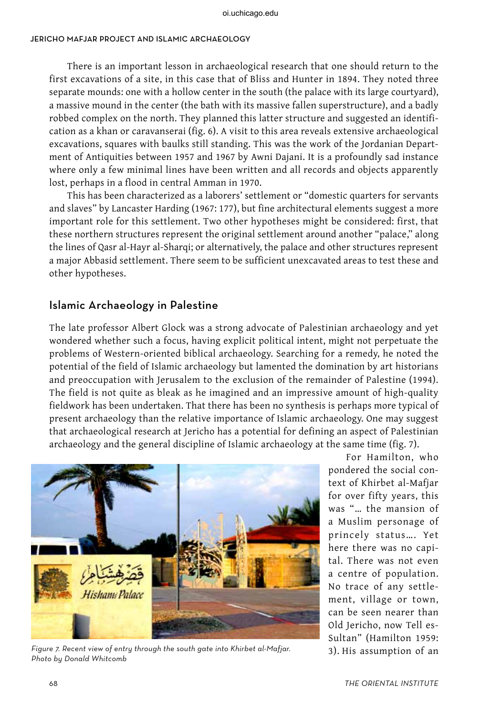There is an important lesson in archaeological research that one should return to the first excavations of a site, in this case that of Bliss and Hunter in 1894. They noted three separate mounds: one with a hollow center in the south (the palace with its large courtyard), a massive mound in the center (the bath with its massive fallen superstructure), and a badly robbed complex on the north. They planned this latter structure and suggested an identification as a khan or caravanserai (fig. 6). A visit to this area reveals extensive archaeological excavations, squares with baulks still standing. This was the work of the Jordanian Department of Antiquities between 1957 and 1967 by Awni Dajani. It is a profoundly sad instance where only a few minimal lines have been written and all records and objects apparently lost, perhaps in a flood in central Amman in 1970.

This has been characterized as a laborers' settlement or "domestic quarters for servants and slaves" by Lancaster Harding (1967: 177), but fine architectural elements suggest a more important role for this settlement. Two other hypotheses might be considered: first, that these northern structures represent the original settlement around another "palace," along the lines of Qasr al-Hayr al-Sharqi; or alternatively, the palace and other structures represent a major Abbasid settlement. There seem to be sufficient unexcavated areas to test these and other hypotheses.

### Islamic Archaeology in Palestine

The late professor Albert Glock was a strong advocate of Palestinian archaeology and yet wondered whether such a focus, having explicit political intent, might not perpetuate the problems of Western-oriented biblical archaeology. Searching for a remedy, he noted the potential of the field of Islamic archaeology but lamented the domination by art historians and preoccupation with Jerusalem to the exclusion of the remainder of Palestine (1994). The field is not quite as bleak as he imagined and an impressive amount of high-quality fieldwork has been undertaken. That there has been no synthesis is perhaps more typical of present archaeology than the relative importance of Islamic archaeology. One may suggest that archaeological research at Jericho has a potential for defining an aspect of Palestinian archaeology and the general discipline of Islamic archaeology at the same time (fig. 7).



Figure 7. Recent view of entry through the south gate into Khirbet al-Mafjar.  $\qquad \qquad \qquad \qquad 3).$  His assumption of an Photo by Donald Whitcomb

For Hamilton, who pondered the social context of Khirbet al-Mafjar for over fifty years, this was "… the mansion of a Muslim personage of princely status…. Yet here there was no capital. There was not even a centre of population. No trace of any settlement, village or town, can be seen nearer than Old Jericho, now Tell es-Sultan" (Hamilton 1959: